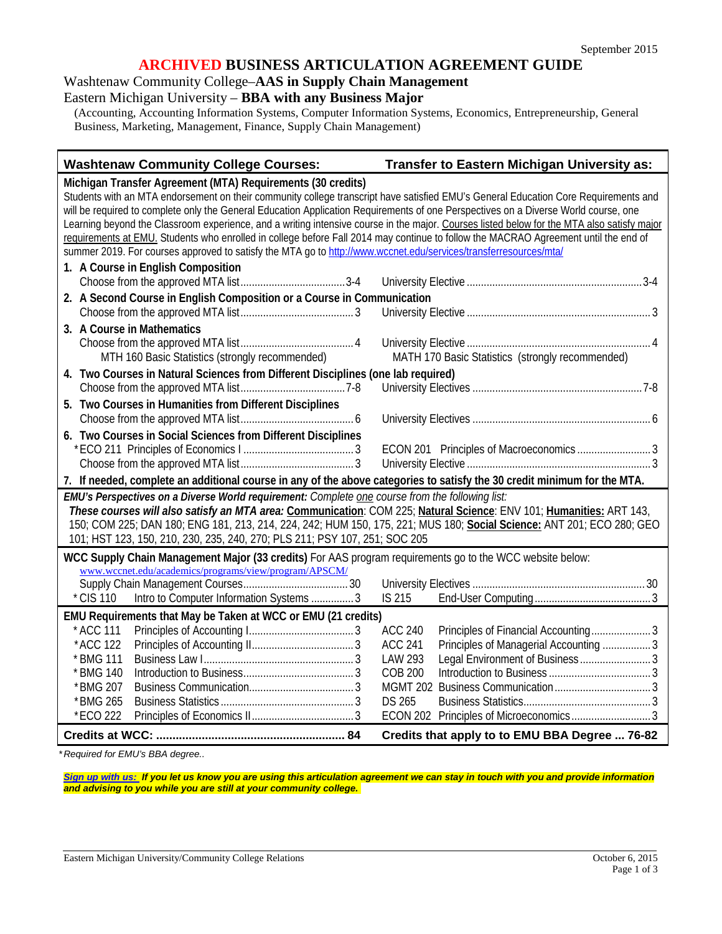### **ARCHIVED BUSINESS ARTICULATION AGREEMENT GUIDE**

Washtenaw Community College–**AAS in Supply Chain Management**

Eastern Michigan University – **BBA with any Business Major**

(Accounting, Accounting Information Systems, Computer Information Systems, Economics, Entrepreneurship, General Business, Marketing, Management, Finance, Supply Chain Management)

| <b>Washtenaw Community College Courses:</b>                                                                                                                                                                                                                                                                                                                                                                                                                                                                                                                                                                                                                                                                                                        | Transfer to Eastern Michigan University as:              |  |
|----------------------------------------------------------------------------------------------------------------------------------------------------------------------------------------------------------------------------------------------------------------------------------------------------------------------------------------------------------------------------------------------------------------------------------------------------------------------------------------------------------------------------------------------------------------------------------------------------------------------------------------------------------------------------------------------------------------------------------------------------|----------------------------------------------------------|--|
| Michigan Transfer Agreement (MTA) Requirements (30 credits)<br>Students with an MTA endorsement on their community college transcript have satisfied EMU's General Education Core Requirements and<br>will be required to complete only the General Education Application Requirements of one Perspectives on a Diverse World course, one<br>Learning beyond the Classroom experience, and a writing intensive course in the major. Courses listed below for the MTA also satisfy major<br>requirements at EMU. Students who enrolled in college before Fall 2014 may continue to follow the MACRAO Agreement until the end of<br>summer 2019. For courses approved to satisfy the MTA go to http://www.wccnet.edu/services/transferresources/mta/ |                                                          |  |
| 1. A Course in English Composition                                                                                                                                                                                                                                                                                                                                                                                                                                                                                                                                                                                                                                                                                                                 |                                                          |  |
| 2. A Second Course in English Composition or a Course in Communication                                                                                                                                                                                                                                                                                                                                                                                                                                                                                                                                                                                                                                                                             |                                                          |  |
|                                                                                                                                                                                                                                                                                                                                                                                                                                                                                                                                                                                                                                                                                                                                                    |                                                          |  |
| 3. A Course in Mathematics                                                                                                                                                                                                                                                                                                                                                                                                                                                                                                                                                                                                                                                                                                                         |                                                          |  |
|                                                                                                                                                                                                                                                                                                                                                                                                                                                                                                                                                                                                                                                                                                                                                    |                                                          |  |
| MTH 160 Basic Statistics (strongly recommended)                                                                                                                                                                                                                                                                                                                                                                                                                                                                                                                                                                                                                                                                                                    | MATH 170 Basic Statistics (strongly recommended)         |  |
| 4. Two Courses in Natural Sciences from Different Disciplines (one lab required)                                                                                                                                                                                                                                                                                                                                                                                                                                                                                                                                                                                                                                                                   |                                                          |  |
|                                                                                                                                                                                                                                                                                                                                                                                                                                                                                                                                                                                                                                                                                                                                                    |                                                          |  |
| 5. Two Courses in Humanities from Different Disciplines                                                                                                                                                                                                                                                                                                                                                                                                                                                                                                                                                                                                                                                                                            |                                                          |  |
|                                                                                                                                                                                                                                                                                                                                                                                                                                                                                                                                                                                                                                                                                                                                                    |                                                          |  |
| 6. Two Courses in Social Sciences from Different Disciplines                                                                                                                                                                                                                                                                                                                                                                                                                                                                                                                                                                                                                                                                                       |                                                          |  |
|                                                                                                                                                                                                                                                                                                                                                                                                                                                                                                                                                                                                                                                                                                                                                    |                                                          |  |
|                                                                                                                                                                                                                                                                                                                                                                                                                                                                                                                                                                                                                                                                                                                                                    |                                                          |  |
| 7. If needed, complete an additional course in any of the above categories to satisfy the 30 credit minimum for the MTA.                                                                                                                                                                                                                                                                                                                                                                                                                                                                                                                                                                                                                           |                                                          |  |
| EMU's Perspectives on a Diverse World requirement: Complete one course from the following list:                                                                                                                                                                                                                                                                                                                                                                                                                                                                                                                                                                                                                                                    |                                                          |  |
| These courses will also satisfy an MTA area: Communication: COM 225; Natural Science: ENV 101; Humanities: ART 143,                                                                                                                                                                                                                                                                                                                                                                                                                                                                                                                                                                                                                                |                                                          |  |
| 150; COM 225; DAN 180; ENG 181, 213, 214, 224, 242; HUM 150, 175, 221; MUS 180; Social Science: ANT 201; ECO 280; GEO                                                                                                                                                                                                                                                                                                                                                                                                                                                                                                                                                                                                                              |                                                          |  |
| 101; HST 123, 150, 210, 230, 235, 240, 270; PLS 211; PSY 107, 251; SOC 205                                                                                                                                                                                                                                                                                                                                                                                                                                                                                                                                                                                                                                                                         |                                                          |  |
| WCC Supply Chain Management Major (33 credits) For AAS program requirements go to the WCC website below:                                                                                                                                                                                                                                                                                                                                                                                                                                                                                                                                                                                                                                           |                                                          |  |
| www.wccnet.edu/academics/programs/view/program/APSCM/                                                                                                                                                                                                                                                                                                                                                                                                                                                                                                                                                                                                                                                                                              |                                                          |  |
| * CIS 110<br>Intro to Computer Information Systems  3                                                                                                                                                                                                                                                                                                                                                                                                                                                                                                                                                                                                                                                                                              | IS 215                                                   |  |
|                                                                                                                                                                                                                                                                                                                                                                                                                                                                                                                                                                                                                                                                                                                                                    |                                                          |  |
| EMU Requirements that May be Taken at WCC or EMU (21 credits)<br>* ACC 111                                                                                                                                                                                                                                                                                                                                                                                                                                                                                                                                                                                                                                                                         | Principles of Financial Accounting3<br><b>ACC 240</b>    |  |
| *ACC 122                                                                                                                                                                                                                                                                                                                                                                                                                                                                                                                                                                                                                                                                                                                                           | <b>ACC 241</b><br>Principles of Managerial Accounting  3 |  |
| * BMG 111                                                                                                                                                                                                                                                                                                                                                                                                                                                                                                                                                                                                                                                                                                                                          | LAW 293                                                  |  |
| * BMG 140                                                                                                                                                                                                                                                                                                                                                                                                                                                                                                                                                                                                                                                                                                                                          | <b>COB 200</b>                                           |  |
| *BMG 207                                                                                                                                                                                                                                                                                                                                                                                                                                                                                                                                                                                                                                                                                                                                           | <b>MGMT 202</b>                                          |  |
| *BMG 265                                                                                                                                                                                                                                                                                                                                                                                                                                                                                                                                                                                                                                                                                                                                           | <b>DS 265</b>                                            |  |
| *ECO 222                                                                                                                                                                                                                                                                                                                                                                                                                                                                                                                                                                                                                                                                                                                                           | ECON 202 Principles of Microeconomics3                   |  |
|                                                                                                                                                                                                                                                                                                                                                                                                                                                                                                                                                                                                                                                                                                                                                    | Credits that apply to to EMU BBA Degree  76-82           |  |

*\* Required for EMU's BBA degree..* 

*[Sign up with us:](https://www.emich.edu/ccr/articulation-agreements/signup.php) If you let us know you are using this articulation agreement we can stay in touch with you and provide information and advising to you while you are still at your community college.*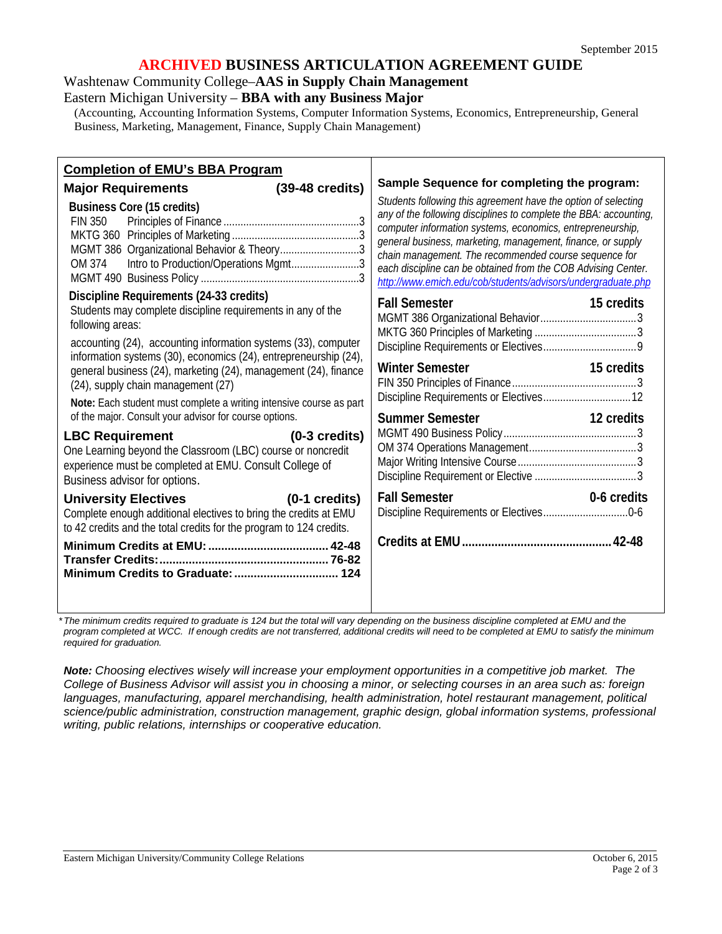### **ARCHIVED BUSINESS ARTICULATION AGREEMENT GUIDE**

Washtenaw Community College–**AAS in Supply Chain Management**

Eastern Michigan University – **BBA with any Business Major**

(Accounting, Accounting Information Systems, Computer Information Systems, Economics, Entrepreneurship, General Business, Marketing, Management, Finance, Supply Chain Management)

| Sample Sequence for completing the program:<br>$(39-48 \text{ credits})$<br><b>Major Requirements</b><br>Students following this agreement have the option of selecting<br><b>Business Core (15 credits)</b><br>any of the following disciplines to complete the BBA: accounting,<br><b>FIN 350</b><br>computer information systems, economics, entrepreneurship,<br>general business, marketing, management, finance, or supply<br>MGMT 386 Organizational Behavior & Theory3<br>chain management. The recommended course sequence for<br>Intro to Production/Operations Mgmt3<br>OM 374<br>each discipline can be obtained from the COB Advising Center. |                                        |
|------------------------------------------------------------------------------------------------------------------------------------------------------------------------------------------------------------------------------------------------------------------------------------------------------------------------------------------------------------------------------------------------------------------------------------------------------------------------------------------------------------------------------------------------------------------------------------------------------------------------------------------------------------|----------------------------------------|
| http://www.emich.edu/cob/students/advisors/undergraduate.php<br>Discipline Requirements (24-33 credits)                                                                                                                                                                                                                                                                                                                                                                                                                                                                                                                                                    |                                        |
| <b>Fall Semester</b><br>Students may complete discipline requirements in any of the<br>following areas:<br>accounting (24), accounting information systems (33), computer<br>information systems (30), economics (24), entrepreneurship (24),<br>Winter Semester <b>Example 2018</b><br>general business (24), marketing (24), management (24), finance<br>(24), supply chain management (27)<br>Note: Each student must complete a writing intensive course as part<br>of the major. Consult your advisor for course options.<br>Summer Semester <b>Summer</b> Semester                                                                                   | 15 credits<br>15 credits<br>12 credits |
| <b>LBC Requirement</b><br>$(0-3 \text{ credits})$<br>One Learning beyond the Classroom (LBC) course or noncredit<br>experience must be completed at EMU. Consult College of<br>Business advisor for options.                                                                                                                                                                                                                                                                                                                                                                                                                                               |                                        |
| <b>Fall Semester</b><br>University Electives (0-1 credits)<br>Complete enough additional electives to bring the credits at EMU<br>to 42 credits and the total credits for the program to 124 credits.                                                                                                                                                                                                                                                                                                                                                                                                                                                      | 0-6 credits                            |

*\*The minimum credits required to graduate is 124 but the total will vary depending on the business discipline completed at EMU and the*  program completed at WCC. If enough credits are not transferred, additional credits will need to be completed at EMU to satisfy the minimum *required for graduation.*

*Note: Choosing electives wisely will increase your employment opportunities in a competitive job market. The College of Business Advisor will assist you in choosing a minor, or selecting courses in an area such as: foreign languages, manufacturing, apparel merchandising, health administration, hotel restaurant management, political science/public administration, construction management, graphic design, global information systems, professional writing, public relations, internships or cooperative education.*